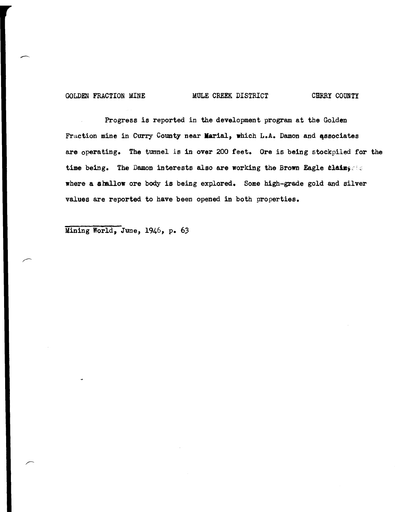#### GOLDEN FRACTION MINE MULE CREEK DISTRICT CHRRY COUNTY

Progress is reported in the development program at the Golden Fraction mine in Curry County near Marial, which L.A. Damon and associates are operating. The tunnel is in over 200 feet. Ore is being stockpiled for the time being. The Damon interests also are working the Brown Eagle claims  $\leq$ where a shallow ore body is being explored. Some high-grade gold and silver values are reported to have been opened in both properties.

Mining World, June, 1946, p. 63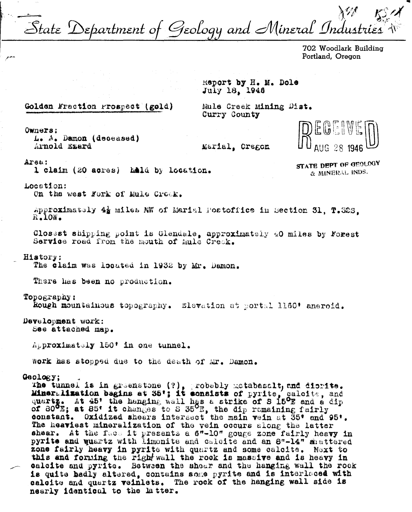State Department of Geology and Mineral Industries

702 Woodlark Building Portland, Oregon

Report by H. M. Dole July 18, 1946

## Golden Fraction Prospect (gold)

Mule Creek Mining Dist. Curry County

Owners: L. A. Damon (deceased) Arnold Exard

Marial, Oragon



Arsa:

1 claim (20 acres) hald by location.

STATE DEPT OF GEOLOGY & MINERAL INDS.

#### Location:

On the west Fork of Mule Croek.

Approximately 4% miles NW of Marial Postoffice in Section 31, T.32S.  $R_{\bullet}10W_{\bullet}$ 

Closest shipping point is Glendale, approximately 40 miles by Forest Service road from the mouth of Mule Creek.

#### History:

The claim was located in 1932 by Mr. Damon.

There has been no production.

#### Topography:

Rough mountainous topography. Elevation at portal 1160\* aneroid.

### Development work: See attached map.

Approximately 150' in one tunnel.

work has stopped due to the death of Mr. Damon.

#### Geology;

The tunnel is in greenstone (?), probably metabasalt, and dicrite.<br>Mineralization begins at 35'; it consists of pyrite, galoite, and quartz. At 45' the hanging wall has a strike of S 15<sup>0</sup>E and a dip of 80<sup>0</sup>E; at 85' it changes to S 35<sup>0</sup>E, the dip remaining fairly constant. Oxidized shears intersect the main vein at 35' and 95'. The heaviest mineralization of the vein occurs along the latter<br>shear. At the face it presents a 6"-10" gouge zone fairly heavy in pyrite and quartz with limonite and calcite and an 8"-14" shattered zone fairly heavy in pyrite with quartz and some calcite. Next to this and forming the right wall the rock is massive and is heavy in calcite and pyrite. Between the shear and the hanging wall the rock is quite badly altered, contains some pyrite and is interlaced with calcite and quertz veinlets. The rock of the hanging wall side is nearly identical to the latter.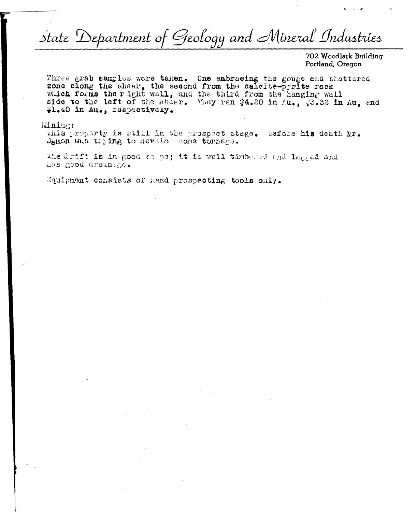# State Department of Geology and Mineral Industries

702 Woodlark Building Portland, Oregon

Three grab samples were taken. One embracing the gouge and shattered zone elong the shear, the second from the calcite-pyrite rock which forms the right wall, and the third from the hanging wall side to the left of the shear. They ran \$4.20 in Au., \$3.32 in Au. and #1.40 in Au., respectively.

#### Mining:

This property is still in the prospect stage. Sefore his death Mr. Demon was trying to develop some tonnage.

The drift is in good ab pe; it is well timbered and lagged and has good drainago.

Equipment consists of hand prospecting tools only.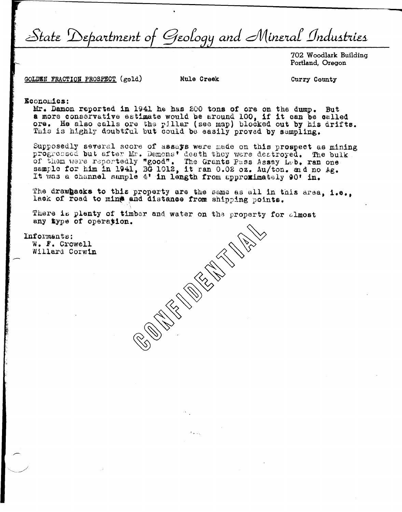State Department of Geology and Mineral Industries

702 Woodlark Building Portland, Oregon

GOLDEN FRACTION PROSPECT (gold)

Mule Creek

Curry County

Economics:

Mr. Damon reported in 1941 he has 200 tons of ore on the dump. But a more conservative estimate would be around 100, if it can be called ore. He also calls ore the pillar (see map) blocked out by his drifts. This is highly doubtful but could be easily proved by sampling.

Supposedly several score of assays were made on this prospect as mining<br>progressed but after Mr. Damons' death they were destroyed. The bulk<br>of them were reportedly "good". The Grants Pass Assay Leb. ran one<br>sample for him It was a channel sample 4' in length from approximately 90' in.

The drawhacks to this property are the same as all in this area, i.e., lack of road to mine and distance from shipping points.

**CENTRAL CENTRAL** 

There is plenty of timber and water on the property for almost any type of operation.

Informants: W. F. Crowell Willard Corwin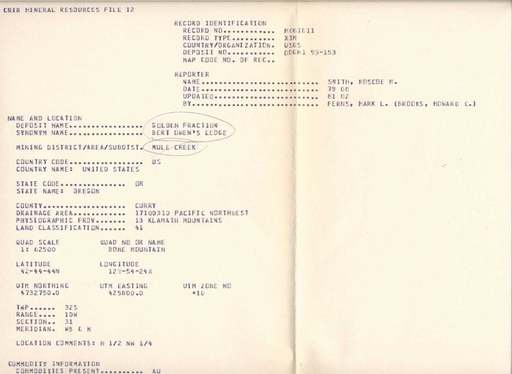## CRIB MINERAL RESOURCES FILE 12

RECORD IDENTIFICATION RECORD NO............ M061811 RECORD TYPE........... XIM COUNTRY/ORGANIZATION. USGS DEPOSIT NO........... QDGM1 93-153 MAP CODE NO. DF REC. REPORTER NAME ............................ SMITH. ROSCOE N. DATE .............................. 78 08 UPDATED........................ 81 02 BY................................ FERNS, MARK L. (BROOKS, HOWARD C.) NAME AND LOCATION DEPOSIT NAME ................. GOLDEN FRACTION SYNONYM NAME ................. BERT OWEN'S LEDGE MINING DISTRICT/AREA/SUBDIST. MULE CREEK COUNTRY CODE................... US COUNTRY NAME: UNITED STATES STATE CODE................ OR STATE NAME: OREGON COUNTY................... CURRY DRAINAGE AREA............ 17100310 PACIFIC NORTHNEST PHYSIOGRAPHIC PROV........ 13 KLAMATH MOUNTAINS LAND CLASSIFICATION....... 41 QUAD SCALE QUAD NO OR NAME BONE MOUNTAIN 1: 62500 LATITUDE LONGITUDE  $42 - 44 - 44N$  $127 - 54 - 248$ UTM NORTHING UTM EASTING UTM ZONE NO 4732750.0 425800.0  $+10$  $$ RANGE..... 10W  $SECIION - 31$ MERIDIAN. WB & M LOCATION COMMENTS: N 1/2 NW 1/4 COMMODITY INFORMATION COMMODITIES PRESENT ........... AU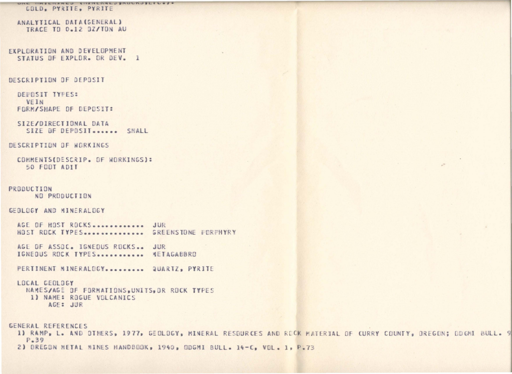#### UIL IMSLIIZHLU SIIZHLINE SRUURJSLI LOJO GOLD, PYRITE, PYRITE

ANALYTICAL DATA(GENERAL) TRACE TO 0.12 DZ/TON AU

EXPLORATION AND DEVELOPMENT STATUS OF EXPLOR. OR DEV. 1

#### DESCRIPTION OF DEPOSIT

DEPOSIT TYPES: VEIN FORM/SHAPE OF DEPOSIT:

SIZE/DIRECTIONAL DATA SIZE OF DEPOSIT....... SMALL

DESCRIPTION OF WORKINGS

COMMENTS(DESCRIP. OF WORKINGS): 50 FOOT ADIT

PRODUCTION NO PRODUCTION

### GEOLOGY AND MINERALDGY

AGE OF HOST ROCKS.............. JUR HOST ROCK TYPES.............. GREENSTONE PORPHYRY

AGE OF ASSOC. IGNEOUS ROCKS.. JUR IGNEDUS ROCK TYPES ............ METAGABBRO

PERTINENT MINERALOGY.......... QUARTZ, PYRITE

#### LOCAL CEOLOGY

NAMES/AGE OF FORMATIONS, UNITS, OR ROCK TYPES 1) NAME: ROGUE VOLCANICS AGE: JUR

GENERAL REFERENCES

1) RAMP, L. AND DIHERS, 1977, GEOLOGY, MINERAL RESOURCES AND ROCK MATERIAL OF CURRY COUNTY, OREGON; ODGHI BULL. 9 P.39 2) OREGON METAL MINES HANDBOOK, 1940, ODGMI BULL. 14-C, VOL. 1, P.73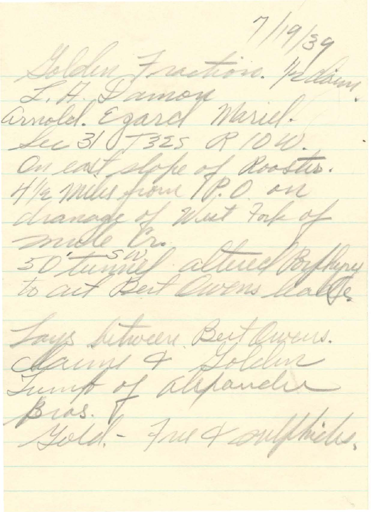Solden Frantisin plan, Sec 31 0,7325 Q 10W. On east slope of Rooster. drawage of West take of mille l mille Cr. altweel Byllyn Jays Sitween Bert Queus. Hanny & Golden Bras. J. Jus of supplicates.